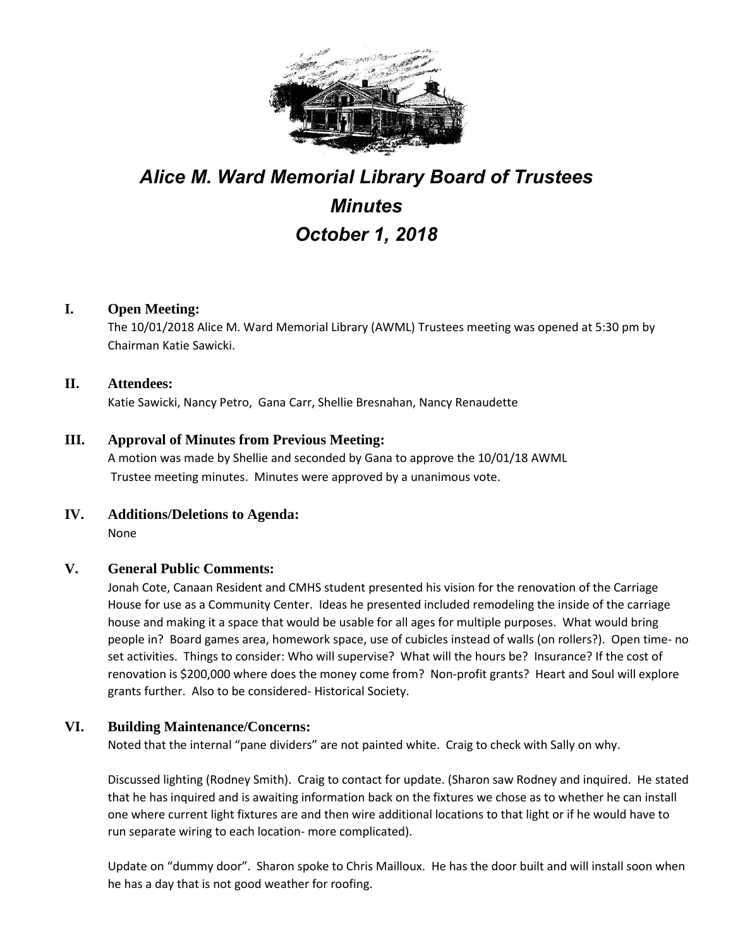

# *Alice M. Ward Memorial Library Board of Trustees Minutes October 1, 2018*

# **I. Open Meeting:**

The 10/01/2018 Alice M. Ward Memorial Library (AWML) Trustees meeting was opened at 5:30 pm by Chairman Katie Sawicki.

# **II. Attendees:**

Katie Sawicki, Nancy Petro, Gana Carr, Shellie Bresnahan, Nancy Renaudette

# **III. Approval of Minutes from Previous Meeting:**

A motion was made by Shellie and seconded by Gana to approve the 10/01/18 AWML Trustee meeting minutes. Minutes were approved by a unanimous vote.

# **IV. Additions/Deletions to Agenda:**

None

# **V. General Public Comments:**

Jonah Cote, Canaan Resident and CMHS student presented his vision for the renovation of the Carriage House for use as a Community Center. Ideas he presented included remodeling the inside of the carriage house and making it a space that would be usable for all ages for multiple purposes. What would bring people in? Board games area, homework space, use of cubicles instead of walls (on rollers?). Open time- no set activities. Things to consider: Who will supervise? What will the hours be? Insurance? If the cost of renovation is \$200,000 where does the money come from? Non-profit grants? Heart and Soul will explore grants further. Also to be considered- Historical Society.

# **VI. Building Maintenance/Concerns:**

Noted that the internal "pane dividers" are not painted white. Craig to check with Sally on why.

Discussed lighting (Rodney Smith). Craig to contact for update. (Sharon saw Rodney and inquired. He stated that he has inquired and is awaiting information back on the fixtures we chose as to whether he can install one where current light fixtures are and then wire additional locations to that light or if he would have to run separate wiring to each location- more complicated).

Update on "dummy door". Sharon spoke to Chris Mailloux. He has the door built and will install soon when he has a day that is not good weather for roofing.